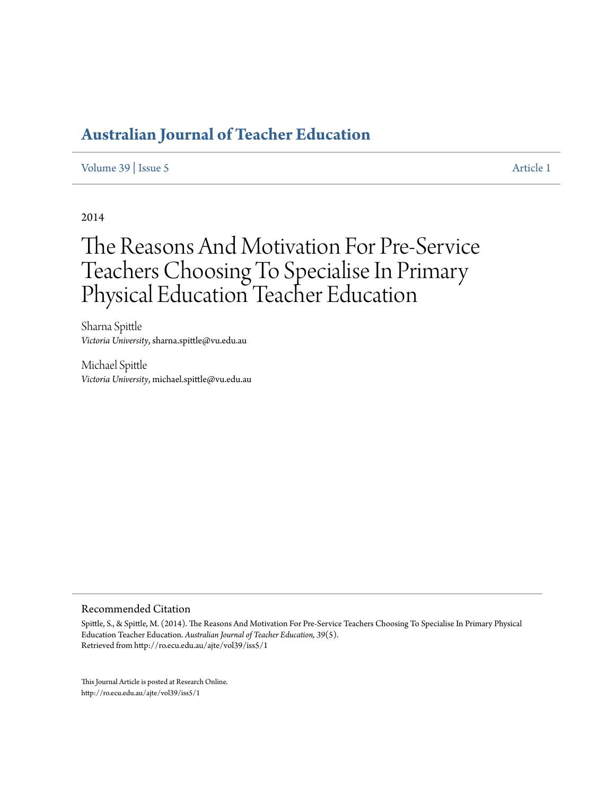# **[Australian Journal of Teacher Education](http://ro.ecu.edu.au/ajte)**

[Volume 39](http://ro.ecu.edu.au/ajte/vol39) | [Issue 5](http://ro.ecu.edu.au/ajte/vol39/iss5) [Article 1](http://ro.ecu.edu.au/ajte/vol39/iss5/1)

2014

# The Reasons And Motivation For Pre-Service Teachers Choosing To Specialise In Primary Physical Education Teacher Education

Sharna Spittle *Victoria University*, sharna.spittle@vu.edu.au

Michael Spittle *Victoria University*, michael.spittle@vu.edu.au

#### Recommended Citation

Spittle, S., & Spittle, M. (2014). The Reasons And Motivation For Pre-Service Teachers Choosing To Specialise In Primary Physical Education Teacher Education. *Australian Journal of Teacher Education, 39*(5). Retrieved from http://ro.ecu.edu.au/ajte/vol39/iss5/1

This Journal Article is posted at Research Online. http://ro.ecu.edu.au/ajte/vol39/iss5/1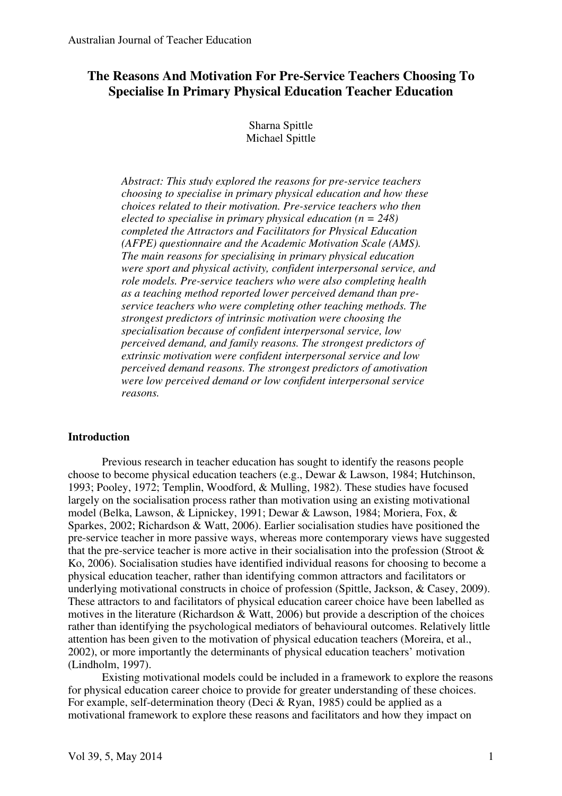# **The Reasons And Motivation For Pre-Service Teachers Choosing To Specialise In Primary Physical Education Teacher Education**

Sharna Spittle Michael Spittle

*Abstract: This study explored the reasons for pre-service teachers choosing to specialise in primary physical education and how these choices related to their motivation. Pre-service teachers who then elected to specialise in primary physical education (n = 248) completed the Attractors and Facilitators for Physical Education (AFPE) questionnaire and the Academic Motivation Scale (AMS). The main reasons for specialising in primary physical education were sport and physical activity, confident interpersonal service, and role models. Pre-service teachers who were also completing health as a teaching method reported lower perceived demand than preservice teachers who were completing other teaching methods. The strongest predictors of intrinsic motivation were choosing the specialisation because of confident interpersonal service, low perceived demand, and family reasons. The strongest predictors of extrinsic motivation were confident interpersonal service and low perceived demand reasons. The strongest predictors of amotivation were low perceived demand or low confident interpersonal service reasons.* 

# **Introduction**

Previous research in teacher education has sought to identify the reasons people choose to become physical education teachers (e.g., Dewar & Lawson, 1984; Hutchinson, 1993; Pooley, 1972; Templin, Woodford, & Mulling, 1982). These studies have focused largely on the socialisation process rather than motivation using an existing motivational model (Belka, Lawson, & Lipnickey, 1991; Dewar & Lawson, 1984; Moriera, Fox, & Sparkes, 2002; Richardson & Watt, 2006). Earlier socialisation studies have positioned the pre-service teacher in more passive ways, whereas more contemporary views have suggested that the pre-service teacher is more active in their socialisation into the profession (Stroot  $\&$ Ko, 2006). Socialisation studies have identified individual reasons for choosing to become a physical education teacher, rather than identifying common attractors and facilitators or underlying motivational constructs in choice of profession (Spittle, Jackson, & Casey, 2009). These attractors to and facilitators of physical education career choice have been labelled as motives in the literature (Richardson & Watt, 2006) but provide a description of the choices rather than identifying the psychological mediators of behavioural outcomes. Relatively little attention has been given to the motivation of physical education teachers (Moreira, et al., 2002), or more importantly the determinants of physical education teachers' motivation (Lindholm, 1997).

Existing motivational models could be included in a framework to explore the reasons for physical education career choice to provide for greater understanding of these choices. For example, self-determination theory (Deci & Ryan, 1985) could be applied as a motivational framework to explore these reasons and facilitators and how they impact on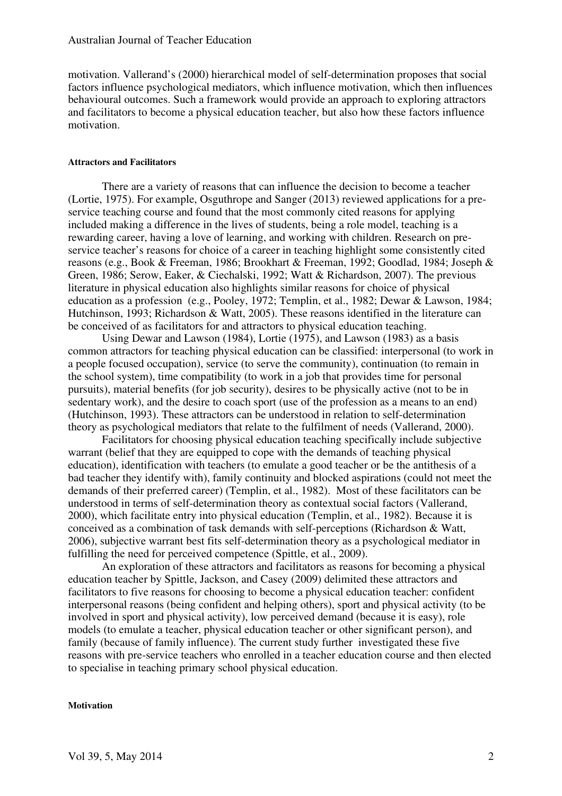motivation. Vallerand's (2000) hierarchical model of self-determination proposes that social factors influence psychological mediators, which influence motivation, which then influences behavioural outcomes. Such a framework would provide an approach to exploring attractors and facilitators to become a physical education teacher, but also how these factors influence motivation.

#### **Attractors and Facilitators**

There are a variety of reasons that can influence the decision to become a teacher (Lortie, 1975). For example, Osguthrope and Sanger (2013) reviewed applications for a preservice teaching course and found that the most commonly cited reasons for applying included making a difference in the lives of students, being a role model, teaching is a rewarding career, having a love of learning, and working with children. Research on preservice teacher's reasons for choice of a career in teaching highlight some consistently cited reasons (e.g., Book & Freeman, 1986; Brookhart & Freeman, 1992; Goodlad, 1984; Joseph & Green, 1986; Serow, Eaker, & Ciechalski, 1992; Watt & Richardson, 2007). The previous literature in physical education also highlights similar reasons for choice of physical education as a profession (e.g., Pooley, 1972; Templin, et al., 1982; Dewar & Lawson, 1984; Hutchinson, 1993; Richardson & Watt, 2005). These reasons identified in the literature can be conceived of as facilitators for and attractors to physical education teaching.

Using Dewar and Lawson (1984), Lortie (1975), and Lawson (1983) as a basis common attractors for teaching physical education can be classified: interpersonal (to work in a people focused occupation), service (to serve the community), continuation (to remain in the school system), time compatibility (to work in a job that provides time for personal pursuits), material benefits (for job security), desires to be physically active (not to be in sedentary work), and the desire to coach sport (use of the profession as a means to an end) (Hutchinson, 1993). These attractors can be understood in relation to self-determination theory as psychological mediators that relate to the fulfilment of needs (Vallerand, 2000).

Facilitators for choosing physical education teaching specifically include subjective warrant (belief that they are equipped to cope with the demands of teaching physical education), identification with teachers (to emulate a good teacher or be the antithesis of a bad teacher they identify with), family continuity and blocked aspirations (could not meet the demands of their preferred career) (Templin, et al., 1982). Most of these facilitators can be understood in terms of self-determination theory as contextual social factors (Vallerand, 2000), which facilitate entry into physical education (Templin, et al., 1982). Because it is conceived as a combination of task demands with self-perceptions (Richardson & Watt, 2006), subjective warrant best fits self-determination theory as a psychological mediator in fulfilling the need for perceived competence (Spittle, et al., 2009).

An exploration of these attractors and facilitators as reasons for becoming a physical education teacher by Spittle, Jackson, and Casey (2009) delimited these attractors and facilitators to five reasons for choosing to become a physical education teacher: confident interpersonal reasons (being confident and helping others), sport and physical activity (to be involved in sport and physical activity), low perceived demand (because it is easy), role models (to emulate a teacher, physical education teacher or other significant person), and family (because of family influence). The current study further investigated these five reasons with pre-service teachers who enrolled in a teacher education course and then elected to specialise in teaching primary school physical education.

#### **Motivation**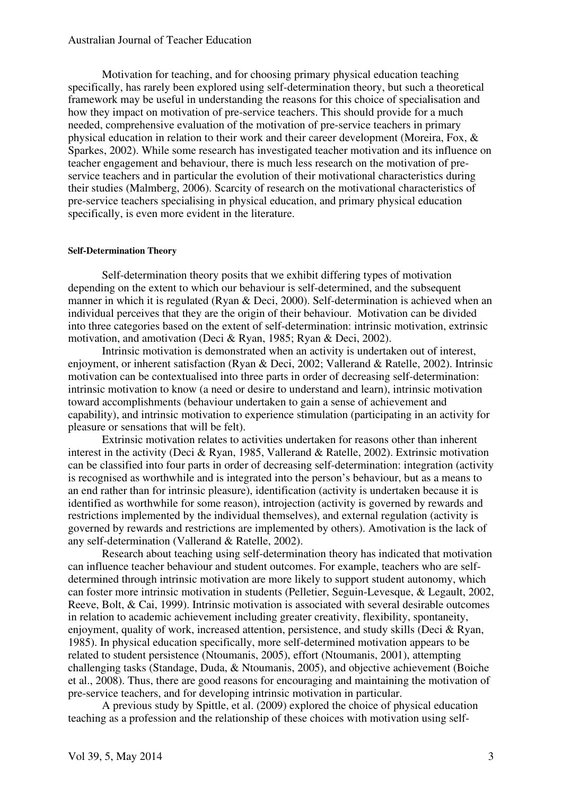## Australian Journal of Teacher Education

Motivation for teaching, and for choosing primary physical education teaching specifically, has rarely been explored using self-determination theory, but such a theoretical framework may be useful in understanding the reasons for this choice of specialisation and how they impact on motivation of pre-service teachers. This should provide for a much needed, comprehensive evaluation of the motivation of pre-service teachers in primary physical education in relation to their work and their career development (Moreira, Fox, & Sparkes, 2002). While some research has investigated teacher motivation and its influence on teacher engagement and behaviour, there is much less research on the motivation of preservice teachers and in particular the evolution of their motivational characteristics during their studies (Malmberg, 2006). Scarcity of research on the motivational characteristics of pre-service teachers specialising in physical education, and primary physical education specifically, is even more evident in the literature.

#### **Self-Determination Theory**

Self-determination theory posits that we exhibit differing types of motivation depending on the extent to which our behaviour is self-determined, and the subsequent manner in which it is regulated (Ryan & Deci, 2000). Self-determination is achieved when an individual perceives that they are the origin of their behaviour. Motivation can be divided into three categories based on the extent of self-determination: intrinsic motivation, extrinsic motivation, and amotivation (Deci & Ryan, 1985; Ryan & Deci, 2002).

Intrinsic motivation is demonstrated when an activity is undertaken out of interest, enjoyment, or inherent satisfaction (Ryan & Deci, 2002; Vallerand & Ratelle, 2002). Intrinsic motivation can be contextualised into three parts in order of decreasing self-determination: intrinsic motivation to know (a need or desire to understand and learn), intrinsic motivation toward accomplishments (behaviour undertaken to gain a sense of achievement and capability), and intrinsic motivation to experience stimulation (participating in an activity for pleasure or sensations that will be felt).

Extrinsic motivation relates to activities undertaken for reasons other than inherent interest in the activity (Deci & Ryan, 1985, Vallerand & Ratelle, 2002). Extrinsic motivation can be classified into four parts in order of decreasing self-determination: integration (activity is recognised as worthwhile and is integrated into the person's behaviour, but as a means to an end rather than for intrinsic pleasure), identification (activity is undertaken because it is identified as worthwhile for some reason), introjection (activity is governed by rewards and restrictions implemented by the individual themselves), and external regulation (activity is governed by rewards and restrictions are implemented by others). Amotivation is the lack of any self-determination (Vallerand & Ratelle, 2002).

Research about teaching using self-determination theory has indicated that motivation can influence teacher behaviour and student outcomes. For example, teachers who are selfdetermined through intrinsic motivation are more likely to support student autonomy, which can foster more intrinsic motivation in students (Pelletier, Seguin-Levesque, & Legault, 2002, Reeve, Bolt, & Cai, 1999). Intrinsic motivation is associated with several desirable outcomes in relation to academic achievement including greater creativity, flexibility, spontaneity, enjoyment, quality of work, increased attention, persistence, and study skills (Deci & Ryan, 1985). In physical education specifically, more self-determined motivation appears to be related to student persistence (Ntoumanis, 2005), effort (Ntoumanis, 2001), attempting challenging tasks (Standage, Duda, & Ntoumanis, 2005), and objective achievement (Boiche et al., 2008). Thus, there are good reasons for encouraging and maintaining the motivation of pre-service teachers, and for developing intrinsic motivation in particular.

A previous study by Spittle, et al. (2009) explored the choice of physical education teaching as a profession and the relationship of these choices with motivation using self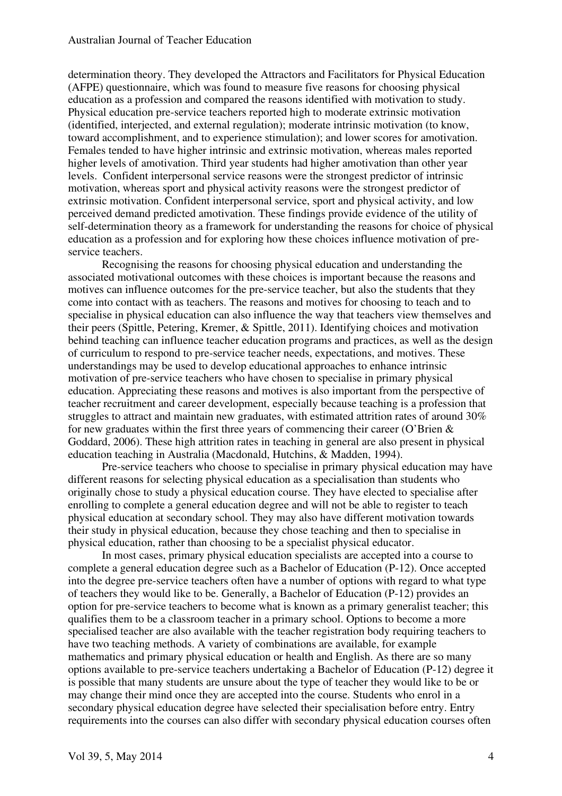determination theory. They developed the Attractors and Facilitators for Physical Education (AFPE) questionnaire, which was found to measure five reasons for choosing physical education as a profession and compared the reasons identified with motivation to study. Physical education pre-service teachers reported high to moderate extrinsic motivation (identified, interjected, and external regulation); moderate intrinsic motivation (to know, toward accomplishment, and to experience stimulation); and lower scores for amotivation. Females tended to have higher intrinsic and extrinsic motivation, whereas males reported higher levels of amotivation. Third year students had higher amotivation than other year levels. Confident interpersonal service reasons were the strongest predictor of intrinsic motivation, whereas sport and physical activity reasons were the strongest predictor of extrinsic motivation. Confident interpersonal service, sport and physical activity, and low perceived demand predicted amotivation. These findings provide evidence of the utility of self-determination theory as a framework for understanding the reasons for choice of physical education as a profession and for exploring how these choices influence motivation of preservice teachers.

Recognising the reasons for choosing physical education and understanding the associated motivational outcomes with these choices is important because the reasons and motives can influence outcomes for the pre-service teacher, but also the students that they come into contact with as teachers. The reasons and motives for choosing to teach and to specialise in physical education can also influence the way that teachers view themselves and their peers (Spittle, Petering, Kremer, & Spittle, 2011). Identifying choices and motivation behind teaching can influence teacher education programs and practices, as well as the design of curriculum to respond to pre-service teacher needs, expectations, and motives. These understandings may be used to develop educational approaches to enhance intrinsic motivation of pre-service teachers who have chosen to specialise in primary physical education. Appreciating these reasons and motives is also important from the perspective of teacher recruitment and career development, especially because teaching is a profession that struggles to attract and maintain new graduates, with estimated attrition rates of around 30% for new graduates within the first three years of commencing their career (O'Brien  $\&$ Goddard, 2006). These high attrition rates in teaching in general are also present in physical education teaching in Australia (Macdonald, Hutchins, & Madden, 1994).

Pre-service teachers who choose to specialise in primary physical education may have different reasons for selecting physical education as a specialisation than students who originally chose to study a physical education course. They have elected to specialise after enrolling to complete a general education degree and will not be able to register to teach physical education at secondary school. They may also have different motivation towards their study in physical education, because they chose teaching and then to specialise in physical education, rather than choosing to be a specialist physical educator.

In most cases, primary physical education specialists are accepted into a course to complete a general education degree such as a Bachelor of Education (P-12). Once accepted into the degree pre-service teachers often have a number of options with regard to what type of teachers they would like to be. Generally, a Bachelor of Education (P-12) provides an option for pre-service teachers to become what is known as a primary generalist teacher; this qualifies them to be a classroom teacher in a primary school. Options to become a more specialised teacher are also available with the teacher registration body requiring teachers to have two teaching methods. A variety of combinations are available, for example mathematics and primary physical education or health and English. As there are so many options available to pre-service teachers undertaking a Bachelor of Education (P-12) degree it is possible that many students are unsure about the type of teacher they would like to be or may change their mind once they are accepted into the course. Students who enrol in a secondary physical education degree have selected their specialisation before entry. Entry requirements into the courses can also differ with secondary physical education courses often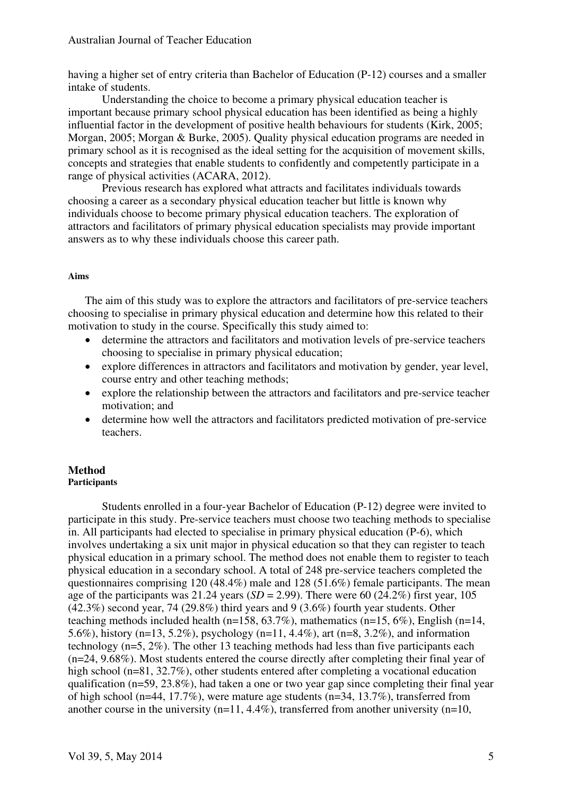having a higher set of entry criteria than Bachelor of Education (P-12) courses and a smaller intake of students.

Understanding the choice to become a primary physical education teacher is important because primary school physical education has been identified as being a highly influential factor in the development of positive health behaviours for students (Kirk, 2005; Morgan, 2005; Morgan & Burke, 2005). Quality physical education programs are needed in primary school as it is recognised as the ideal setting for the acquisition of movement skills, concepts and strategies that enable students to confidently and competently participate in a range of physical activities (ACARA, 2012).

Previous research has explored what attracts and facilitates individuals towards choosing a career as a secondary physical education teacher but little is known why individuals choose to become primary physical education teachers. The exploration of attractors and facilitators of primary physical education specialists may provide important answers as to why these individuals choose this career path.

# **Aims**

The aim of this study was to explore the attractors and facilitators of pre-service teachers choosing to specialise in primary physical education and determine how this related to their motivation to study in the course. Specifically this study aimed to:

- determine the attractors and facilitators and motivation levels of pre-service teachers choosing to specialise in primary physical education;
- explore differences in attractors and facilitators and motivation by gender, year level, course entry and other teaching methods;
- explore the relationship between the attractors and facilitators and pre-service teacher motivation; and
- determine how well the attractors and facilitators predicted motivation of pre-service teachers.

#### **Method Participants**

Students enrolled in a four-year Bachelor of Education (P-12) degree were invited to participate in this study. Pre-service teachers must choose two teaching methods to specialise in. All participants had elected to specialise in primary physical education (P-6), which involves undertaking a six unit major in physical education so that they can register to teach physical education in a primary school. The method does not enable them to register to teach physical education in a secondary school. A total of 248 pre-service teachers completed the questionnaires comprising 120 (48.4%) male and 128 (51.6%) female participants. The mean age of the participants was 21.24 years  $(SD = 2.99)$ . There were 60 (24.2%) first year, 105 (42.3%) second year, 74 (29.8%) third years and 9 (3.6%) fourth year students. Other teaching methods included health (n=158,  $63.7\%$ ), mathematics (n=15,  $6\%$ ), English (n=14, 5.6%), history (n=13, 5.2%), psychology (n=11, 4.4%), art (n=8, 3.2%), and information technology (n=5, 2%). The other 13 teaching methods had less than five participants each (n=24, 9.68%). Most students entered the course directly after completing their final year of high school (n=81, 32.7%), other students entered after completing a vocational education qualification ( $n=59, 23.8\%$ ), had taken a one or two year gap since completing their final year of high school (n=44, 17.7%), were mature age students (n=34, 13.7%), transferred from another course in the university  $(n=11, 4.4\%)$ , transferred from another university  $(n=10, 10)$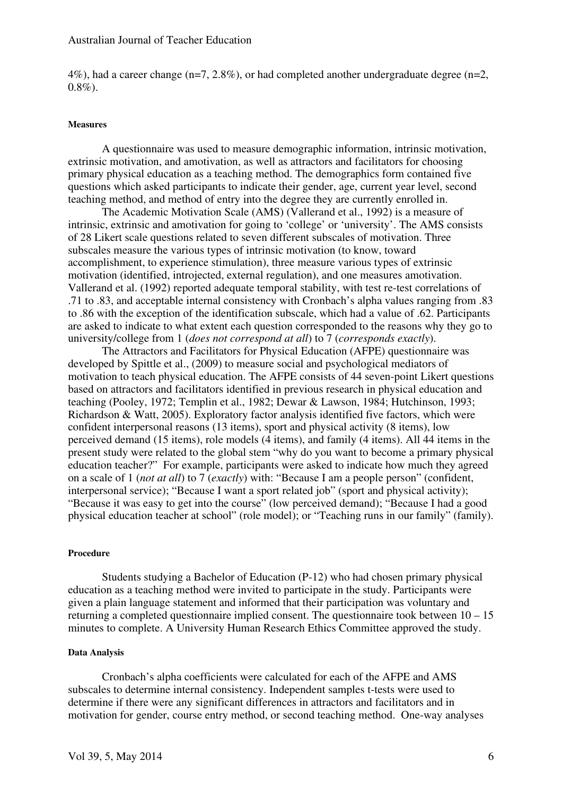4%), had a career change (n=7, 2.8%), or had completed another undergraduate degree (n=2,  $0.8\%$ ).

#### **Measures**

A questionnaire was used to measure demographic information, intrinsic motivation, extrinsic motivation, and amotivation, as well as attractors and facilitators for choosing primary physical education as a teaching method. The demographics form contained five questions which asked participants to indicate their gender, age, current year level, second teaching method, and method of entry into the degree they are currently enrolled in.

The Academic Motivation Scale (AMS) (Vallerand et al., 1992) is a measure of intrinsic, extrinsic and amotivation for going to 'college' or 'university'. The AMS consists of 28 Likert scale questions related to seven different subscales of motivation. Three subscales measure the various types of intrinsic motivation (to know, toward accomplishment, to experience stimulation), three measure various types of extrinsic motivation (identified, introjected, external regulation), and one measures amotivation. Vallerand et al. (1992) reported adequate temporal stability, with test re-test correlations of .71 to .83, and acceptable internal consistency with Cronbach's alpha values ranging from .83 to .86 with the exception of the identification subscale, which had a value of .62. Participants are asked to indicate to what extent each question corresponded to the reasons why they go to university/college from 1 (*does not correspond at all*) to 7 (*corresponds exactly*).

The Attractors and Facilitators for Physical Education (AFPE) questionnaire was developed by Spittle et al., (2009) to measure social and psychological mediators of motivation to teach physical education. The AFPE consists of 44 seven-point Likert questions based on attractors and facilitators identified in previous research in physical education and teaching (Pooley, 1972; Templin et al., 1982; Dewar & Lawson, 1984; Hutchinson, 1993; Richardson & Watt, 2005). Exploratory factor analysis identified five factors, which were confident interpersonal reasons (13 items), sport and physical activity (8 items), low perceived demand (15 items), role models (4 items), and family (4 items). All 44 items in the present study were related to the global stem "why do you want to become a primary physical education teacher?" For example, participants were asked to indicate how much they agreed on a scale of 1 (*not at all*) to 7 (*exactly*) with: "Because I am a people person" (confident, interpersonal service); "Because I want a sport related job" (sport and physical activity); "Because it was easy to get into the course" (low perceived demand); "Because I had a good physical education teacher at school" (role model); or "Teaching runs in our family" (family).

# **Procedure**

Students studying a Bachelor of Education (P-12) who had chosen primary physical education as a teaching method were invited to participate in the study. Participants were given a plain language statement and informed that their participation was voluntary and returning a completed questionnaire implied consent. The questionnaire took between 10 – 15 minutes to complete. A University Human Research Ethics Committee approved the study.

#### **Data Analysis**

Cronbach's alpha coefficients were calculated for each of the AFPE and AMS subscales to determine internal consistency. Independent samples t-tests were used to determine if there were any significant differences in attractors and facilitators and in motivation for gender, course entry method, or second teaching method. One-way analyses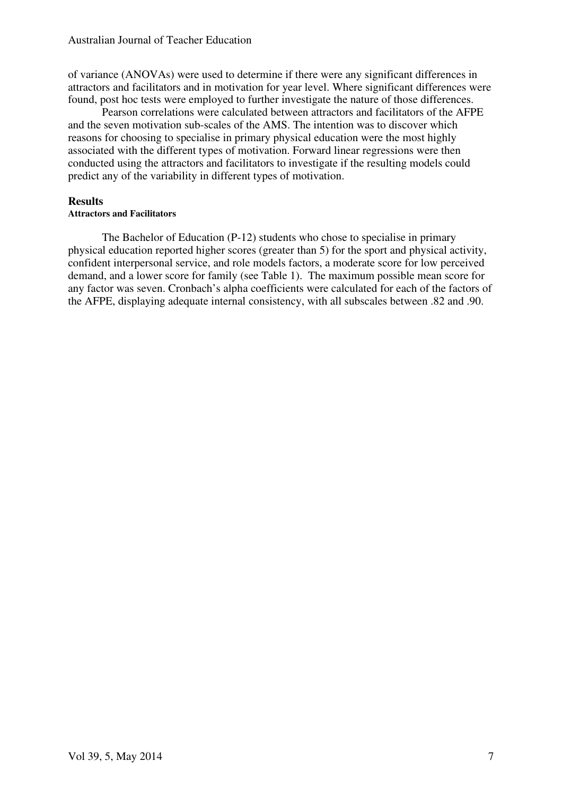of variance (ANOVAs) were used to determine if there were any significant differences in attractors and facilitators and in motivation for year level. Where significant differences were found, post hoc tests were employed to further investigate the nature of those differences.

Pearson correlations were calculated between attractors and facilitators of the AFPE and the seven motivation sub-scales of the AMS. The intention was to discover which reasons for choosing to specialise in primary physical education were the most highly associated with the different types of motivation. Forward linear regressions were then conducted using the attractors and facilitators to investigate if the resulting models could predict any of the variability in different types of motivation.

# **Results**

# **Attractors and Facilitators**

The Bachelor of Education (P-12) students who chose to specialise in primary physical education reported higher scores (greater than 5) for the sport and physical activity, confident interpersonal service, and role models factors, a moderate score for low perceived demand, and a lower score for family (see Table 1). The maximum possible mean score for any factor was seven. Cronbach's alpha coefficients were calculated for each of the factors of the AFPE, displaying adequate internal consistency, with all subscales between .82 and .90.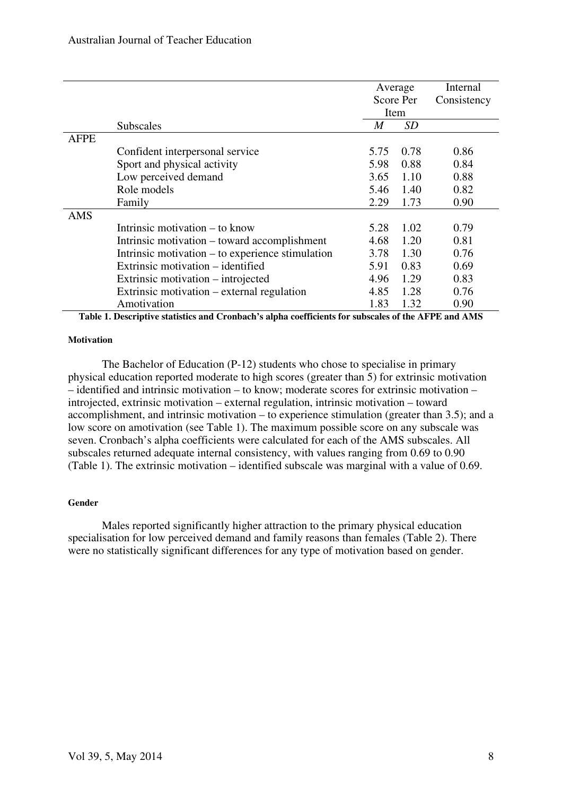|             |                                                  |                  | Average   | Internal    |
|-------------|--------------------------------------------------|------------------|-----------|-------------|
|             |                                                  |                  | Score Per | Consistency |
|             |                                                  |                  | Item      |             |
|             | <b>Subscales</b>                                 | $\boldsymbol{M}$ | SD        |             |
| <b>AFPE</b> |                                                  |                  |           |             |
|             | Confident interpersonal service                  | 5.75             | 0.78      | 0.86        |
|             | Sport and physical activity                      | 5.98             | 0.88      | 0.84        |
|             | Low perceived demand                             | 3.65             | 1.10      | 0.88        |
|             | Role models                                      | 5.46             | 1.40      | 0.82        |
|             | Family                                           | 2.29             | 1.73      | 0.90        |
| <b>AMS</b>  |                                                  |                  |           |             |
|             | Intrinsic motivation – to know                   | 5.28             | 1.02      | 0.79        |
|             | Intrinsic motivation – toward accomplishment     | 4.68             | 1.20      | 0.81        |
|             | Intrinsic motivation – to experience stimulation | 3.78             | 1.30      | 0.76        |
|             | Extrinsic motivation – identified                | 5.91             | 0.83      | 0.69        |
|             | Extrinsic motivation – introjected               | 4.96             | 1.29      | 0.83        |
|             | Extrinsic motivation – external regulation       | 4.85             | 1.28      | 0.76        |
|             | Amotivation                                      | 1.83             | 1.32      | 0.90        |

**Table 1. Descriptive statistics and Cronbach's alpha coefficients for subscales of the AFPE and AMS** 

#### **Motivation**

The Bachelor of Education (P-12) students who chose to specialise in primary physical education reported moderate to high scores (greater than 5) for extrinsic motivation – identified and intrinsic motivation – to know; moderate scores for extrinsic motivation – introjected, extrinsic motivation – external regulation, intrinsic motivation – toward accomplishment, and intrinsic motivation – to experience stimulation (greater than 3.5); and a low score on amotivation (see Table 1). The maximum possible score on any subscale was seven. Cronbach's alpha coefficients were calculated for each of the AMS subscales. All subscales returned adequate internal consistency, with values ranging from 0.69 to 0.90 (Table 1). The extrinsic motivation – identified subscale was marginal with a value of 0.69.

# **Gender**

Males reported significantly higher attraction to the primary physical education specialisation for low perceived demand and family reasons than females (Table 2). There were no statistically significant differences for any type of motivation based on gender.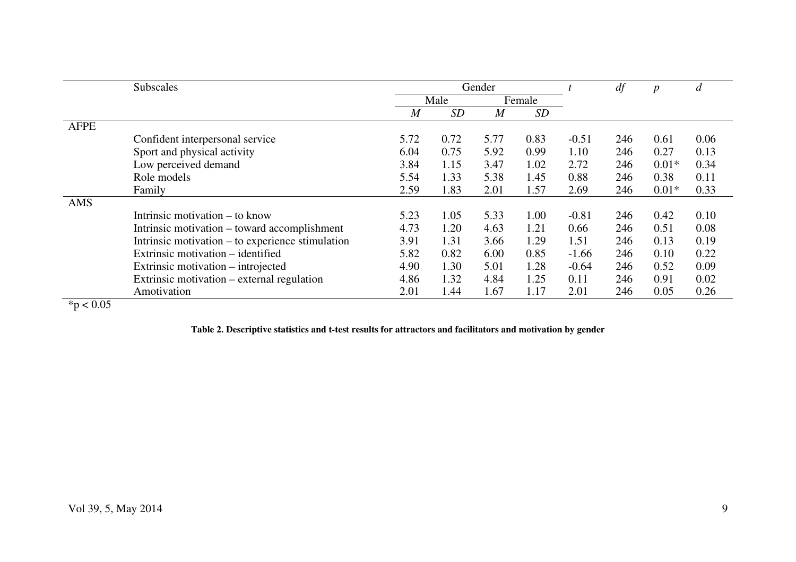|             | <b>Subscales</b>                                 |                  |                | Gender         |      |         | df  | $\boldsymbol{p}$ | d    |
|-------------|--------------------------------------------------|------------------|----------------|----------------|------|---------|-----|------------------|------|
|             |                                                  |                  | Male<br>Female |                |      |         |     |                  |      |
|             |                                                  | $\boldsymbol{M}$ | SD             | $\overline{M}$ | SD   |         |     |                  |      |
| <b>AFPE</b> |                                                  |                  |                |                |      |         |     |                  |      |
|             | Confident interpersonal service                  | 5.72             | 0.72           | 5.77           | 0.83 | $-0.51$ | 246 | 0.61             | 0.06 |
|             | Sport and physical activity                      | 6.04             | 0.75           | 5.92           | 0.99 | 1.10    | 246 | 0.27             | 0.13 |
|             | Low perceived demand                             | 3.84             | 1.15           | 3.47           | 1.02 | 2.72    | 246 | $0.01*$          | 0.34 |
|             | Role models                                      | 5.54             | 1.33           | 5.38           | 1.45 | 0.88    | 246 | 0.38             | 0.11 |
|             | Family                                           | 2.59             | 1.83           | 2.01           | 1.57 | 2.69    | 246 | $0.01*$          | 0.33 |
| AMS         |                                                  |                  |                |                |      |         |     |                  |      |
|             | Intrinsic motivation – to know                   | 5.23             | 1.05           | 5.33           | 1.00 | $-0.81$ | 246 | 0.42             | 0.10 |
|             | Intrinsic motivation – toward accomplishment     | 4.73             | 1.20           | 4.63           | 1.21 | 0.66    | 246 | 0.51             | 0.08 |
|             | Intrinsic motivation – to experience stimulation | 3.91             | 1.31           | 3.66           | 1.29 | 1.51    | 246 | 0.13             | 0.19 |
|             | Extrinsic motivation – identified                | 5.82             | 0.82           | 6.00           | 0.85 | $-1.66$ | 246 | 0.10             | 0.22 |
|             | Extrinsic motivation – introjected               | 4.90             | 1.30           | 5.01           | 1.28 | $-0.64$ | 246 | 0.52             | 0.09 |
|             | Extrinsic motivation – external regulation       | 4.86             | 1.32           | 4.84           | 1.25 | 0.11    | 246 | 0.91             | 0.02 |
|             | Amotivation                                      | 2.01             | 1.44           | 1.67           | 1.17 | 2.01    | 246 | 0.05             | 0.26 |

 $*$ p < 0.05

**Table 2. Descriptive statistics and t-test results for attractors and facilitators and motivation by gender**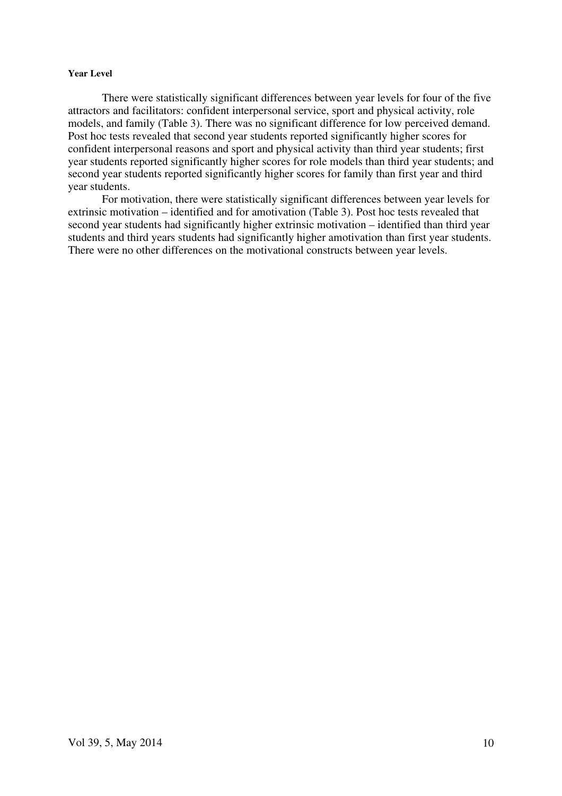#### **Year Level**

There were statistically significant differences between year levels for four of the five attractors and facilitators: confident interpersonal service, sport and physical activity, role models, and family (Table 3). There was no significant difference for low perceived demand. Post hoc tests revealed that second year students reported significantly higher scores for confident interpersonal reasons and sport and physical activity than third year students; first year students reported significantly higher scores for role models than third year students; and second year students reported significantly higher scores for family than first year and third year students.

For motivation, there were statistically significant differences between year levels for extrinsic motivation – identified and for amotivation (Table 3). Post hoc tests revealed that second year students had significantly higher extrinsic motivation – identified than third year students and third years students had significantly higher amotivation than first year students. There were no other differences on the motivational constructs between year levels.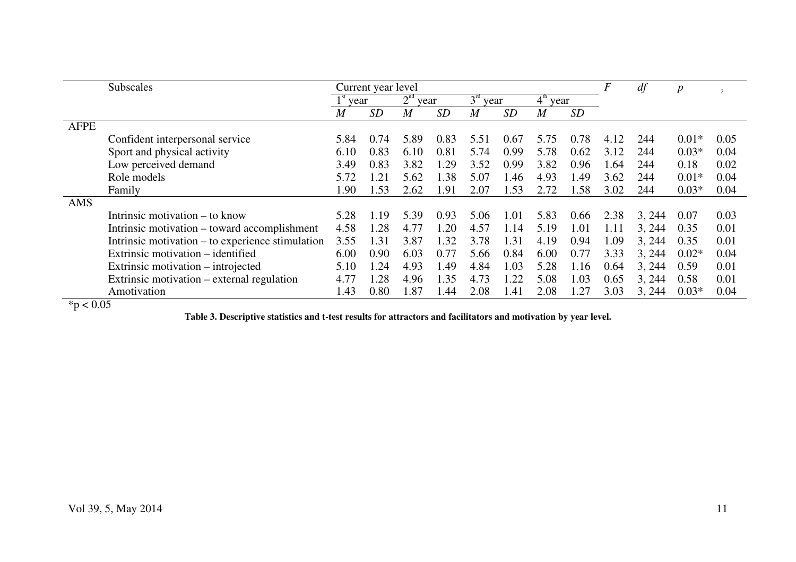| <b>Subscales</b>                          |                                                  |                |                         | Current year level |      |      |            |                |                       | F    | df     | $\boldsymbol{p}$ | $\overline{c}$ |
|-------------------------------------------|--------------------------------------------------|----------------|-------------------------|--------------------|------|------|------------|----------------|-----------------------|------|--------|------------------|----------------|
|                                           |                                                  |                | 2 <sup>nd</sup><br>year |                    | year |      | $3rd$ year |                | $4^{\rm th}$<br>'year |      |        |                  |                |
|                                           |                                                  | $\overline{M}$ | <b>SD</b>               | $\overline{M}$     | SD   | M    | SD         | $\overline{M}$ | SD                    |      |        |                  |                |
| <b>AFPE</b>                               |                                                  |                |                         |                    |      |      |            |                |                       |      |        |                  |                |
|                                           | Confident interpersonal service                  | 5.84           | 0.74                    | 5.89               | 0.83 | 5.51 | 0.67       | 5.75           | 0.78                  | 4.12 | 244    | $0.01*$          | 0.05           |
|                                           | Sport and physical activity                      | 6.10           | 0.83                    | 6.10               | 0.81 | 5.74 | 0.99       | 5.78           | 0.62                  | 3.12 | 244    | $0.03*$          | 0.04           |
|                                           | Low perceived demand                             | 3.49           | 0.83                    | 3.82               | .29  | 3.52 | 0.99       | 3.82           | 0.96                  | 1.64 | 244    | 0.18             | 0.02           |
|                                           | Role models                                      | 5.72           | 1.21                    | 5.62               | 1.38 | 5.07 | .46        | 4.93           | 1.49                  | 3.62 | 244    | $0.01*$          | 0.04           |
|                                           | Family                                           | 1.90           | 1.53                    | 2.62               | 1.91 | 2.07 | 1.53       | 2.72           | 1.58                  | 3.02 | 244    | $0.03*$          | 0.04           |
| AMS                                       |                                                  |                |                         |                    |      |      |            |                |                       |      |        |                  |                |
|                                           | Intrinsic motivation – to know                   | 5.28           | 1.19                    | 5.39               | 0.93 | 5.06 | 1.01       | 5.83           | 0.66                  | 2.38 | 3, 244 | 0.07             | 0.03           |
|                                           | Intrinsic motivation – toward accomplishment     | 4.58           | 1.28                    | 4.77               | 1.20 | 4.57 | 1.14       | 5.19           | 1.01                  | 1.11 | 3, 244 | 0.35             | 0.01           |
|                                           | Intrinsic motivation – to experience stimulation | 3.55           | 1.31                    | 3.87               | 1.32 | 3.78 | 1.31       | 4.19           | 0.94                  | 1.09 | 3, 244 | 0.35             | 0.01           |
|                                           | Extrinsic motivation – identified                | 6.00           | 0.90                    | 6.03               | 0.77 | 5.66 | 0.84       | 6.00           | 0.77                  | 3.33 | 3, 244 | $0.02*$          | 0.04           |
|                                           | Extrinsic motivation – introjected               | 5.10           | 1.24                    | 4.93               | 1.49 | 4.84 | .03        | 5.28           | 1.16                  | 0.64 | 3, 244 | 0.59             | 0.01           |
|                                           | Extrinsic motivation – external regulation       | 4.77           | 1.28                    | 4.96               | 1.35 | 4.73 | .22        | 5.08           | 1.03                  | 0.65 | 3, 244 | 0.58             | 0.01           |
| $\sim$ $\sim$ $\sim$<br>$\sim$ 1.4 $\sim$ | Amotivation                                      | 1.43           | 0.80                    | 1.87               | 1.44 | 2.08 | l.41       | 2.08           | 1.27                  | 3.03 | 3, 244 | $0.03*$          | 0.04           |

 $*$ p < 0.05

**Table 3. Descriptive statistics and t-test results for attractors and facilitators and motivation by year level.**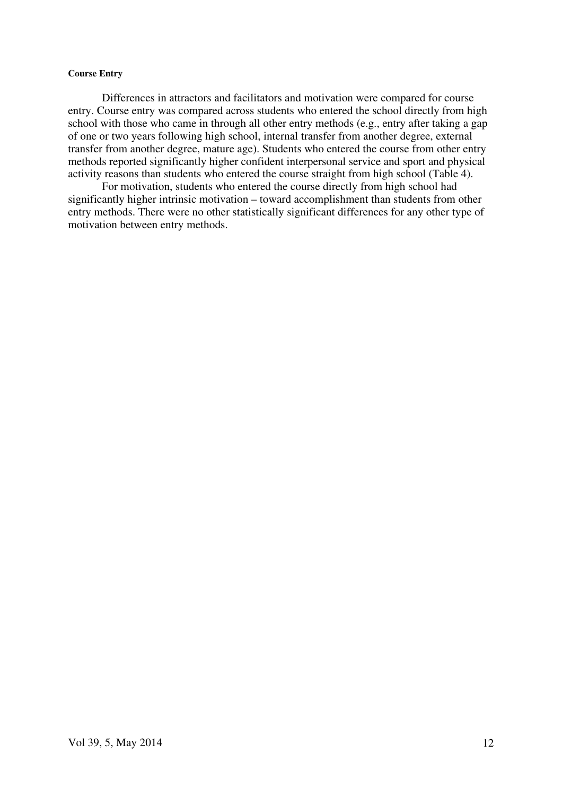#### **Course Entry**

Differences in attractors and facilitators and motivation were compared for course entry. Course entry was compared across students who entered the school directly from high school with those who came in through all other entry methods (e.g., entry after taking a gap of one or two years following high school, internal transfer from another degree, external transfer from another degree, mature age). Students who entered the course from other entry methods reported significantly higher confident interpersonal service and sport and physical activity reasons than students who entered the course straight from high school (Table 4).

For motivation, students who entered the course directly from high school had significantly higher intrinsic motivation – toward accomplishment than students from other entry methods. There were no other statistically significant differences for any other type of motivation between entry methods.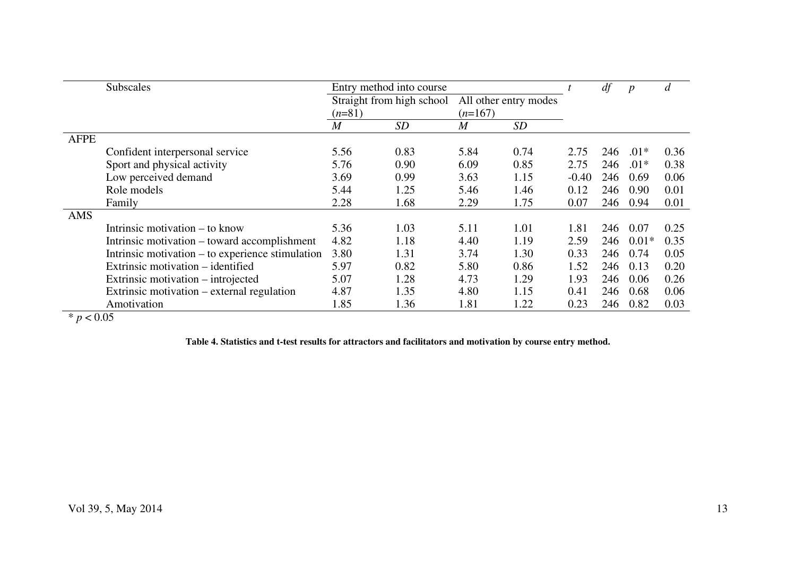|             | <b>Subscales</b>                                 | Entry method into course |                           |                       |      |         | df  | $\boldsymbol{p}$ | d    |
|-------------|--------------------------------------------------|--------------------------|---------------------------|-----------------------|------|---------|-----|------------------|------|
|             |                                                  |                          | Straight from high school | All other entry modes |      |         |     |                  |      |
|             |                                                  | $(n=81)$                 |                           | $(n=167)$             |      |         |     |                  |      |
|             |                                                  | $\overline{M}$           | <i>SD</i>                 | $\overline{M}$        | SD   |         |     |                  |      |
| <b>AFPE</b> |                                                  |                          |                           |                       |      |         |     |                  |      |
|             | Confident interpersonal service                  | 5.56                     | 0.83                      | 5.84                  | 0.74 | 2.75    | 246 | $.01*$           | 0.36 |
|             | Sport and physical activity                      | 5.76                     | 0.90                      | 6.09                  | 0.85 | 2.75    | 246 | $.01*$           | 0.38 |
|             | Low perceived demand                             | 3.69                     | 0.99                      | 3.63                  | 1.15 | $-0.40$ | 246 | 0.69             | 0.06 |
|             | Role models                                      | 5.44                     | 1.25                      | 5.46                  | 1.46 | 0.12    | 246 | 0.90             | 0.01 |
|             | Family                                           | 2.28                     | 1.68                      | 2.29                  | 1.75 | 0.07    | 246 | 0.94             | 0.01 |
| AMS         |                                                  |                          |                           |                       |      |         |     |                  |      |
|             | Intrinsic motivation – to know                   | 5.36                     | 1.03                      | 5.11                  | 1.01 | 1.81    | 246 | 0.07             | 0.25 |
|             | Intrinsic motivation – toward accomplishment     | 4.82                     | 1.18                      | 4.40                  | 1.19 | 2.59    | 246 | $0.01*$          | 0.35 |
|             | Intrinsic motivation – to experience stimulation | 3.80                     | 1.31                      | 3.74                  | 1.30 | 0.33    | 246 | 0.74             | 0.05 |
|             | Extrinsic motivation – identified                | 5.97                     | 0.82                      | 5.80                  | 0.86 | 1.52    | 246 | 0.13             | 0.20 |
|             | Extrinsic motivation – introjected               | 5.07                     | 1.28                      | 4.73                  | 1.29 | 1.93    | 246 | 0.06             | 0.26 |
|             | Extrinsic motivation – external regulation       | 4.87                     | 1.35                      | 4.80                  | 1.15 | 0.41    | 246 | 0.68             | 0.06 |
|             | Amotivation                                      | 1.85                     | 1.36                      | 1.81                  | 1.22 | 0.23    | 246 | 0.82             | 0.03 |

 $* p < 0.05$ 

**Table 4. Statistics and t-test results for attractors and facilitators and motivation by course entry method.**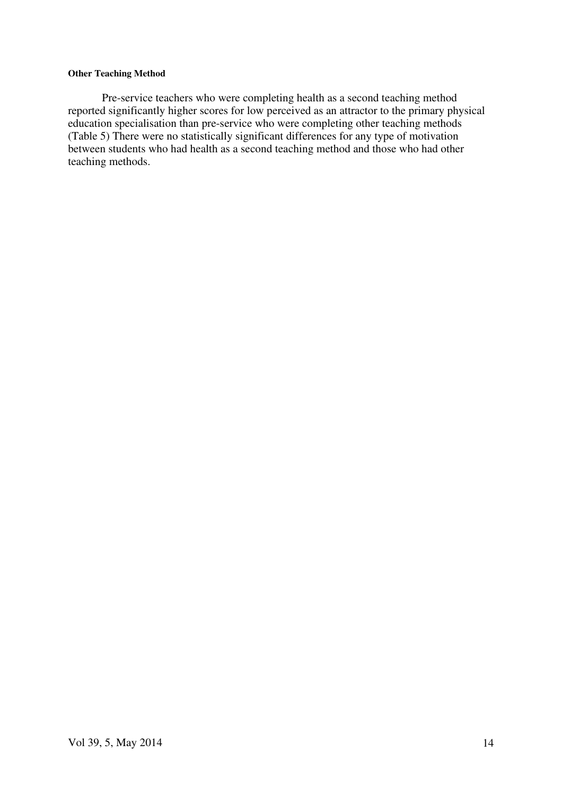# **Other Teaching Method**

Pre-service teachers who were completing health as a second teaching method reported significantly higher scores for low perceived as an attractor to the primary physical education specialisation than pre-service who were completing other teaching methods (Table 5) There were no statistically significant differences for any type of motivation between students who had health as a second teaching method and those who had other teaching methods.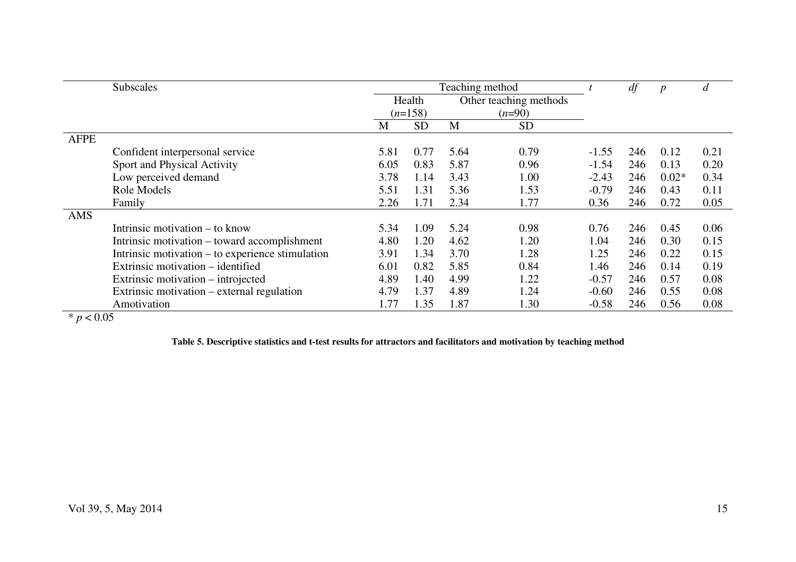|             | Subscales                                        | Teaching method |                                  |      |           | df      | $\boldsymbol{p}$ | $\overline{d}$ |      |
|-------------|--------------------------------------------------|-----------------|----------------------------------|------|-----------|---------|------------------|----------------|------|
|             |                                                  |                 | Other teaching methods<br>Health |      |           |         |                  |                |      |
|             |                                                  |                 | $(n=158)$                        |      | $(n=90)$  |         |                  |                |      |
|             |                                                  | M               | <b>SD</b>                        | M    | <b>SD</b> |         |                  |                |      |
| <b>AFPE</b> |                                                  |                 |                                  |      |           |         |                  |                |      |
|             | Confident interpersonal service                  | 5.81            | 0.77                             | 5.64 | 0.79      | $-1.55$ | 246              | 0.12           | 0.21 |
|             | Sport and Physical Activity                      | 6.05            | 0.83                             | 5.87 | 0.96      | $-1.54$ | 246              | 0.13           | 0.20 |
|             | Low perceived demand                             | 3.78            | 1.14                             | 3.43 | 1.00      | $-2.43$ | 246              | $0.02*$        | 0.34 |
|             | Role Models                                      | 5.51            | 1.31                             | 5.36 | 1.53      | $-0.79$ | 246              | 0.43           | 0.11 |
|             | Family                                           | 2.26            | 1.71                             | 2.34 | 1.77      | 0.36    | 246              | 0.72           | 0.05 |
| AMS         |                                                  |                 |                                  |      |           |         |                  |                |      |
|             | Intrinsic motivation – to know                   | 5.34            | 1.09                             | 5.24 | 0.98      | 0.76    | 246              | 0.45           | 0.06 |
|             | Intrinsic motivation – toward accomplishment     | 4.80            | 1.20                             | 4.62 | 1.20      | 1.04    | 246              | 0.30           | 0.15 |
|             | Intrinsic motivation – to experience stimulation | 3.91            | 1.34                             | 3.70 | 1.28      | 1.25    | 246              | 0.22           | 0.15 |
|             | Extrinsic motivation – identified                | 6.01            | 0.82                             | 5.85 | 0.84      | 1.46    | 246              | 0.14           | 0.19 |
|             | Extrinsic motivation – introjected               | 4.89            | 1.40                             | 4.99 | 1.22      | $-0.57$ | 246              | 0.57           | 0.08 |
|             | Extrinsic motivation – external regulation       | 4.79            | 1.37                             | 4.89 | 1.24      | $-0.60$ | 246              | 0.55           | 0.08 |
|             | Amotivation                                      | 1.77            | 1.35                             | 1.87 | 1.30      | $-0.58$ | 246              | 0.56           | 0.08 |

 $* p < 0.05$ 

**Table 5. Descriptive statistics and t-test results for attractors and facilitators and motivation by teaching method**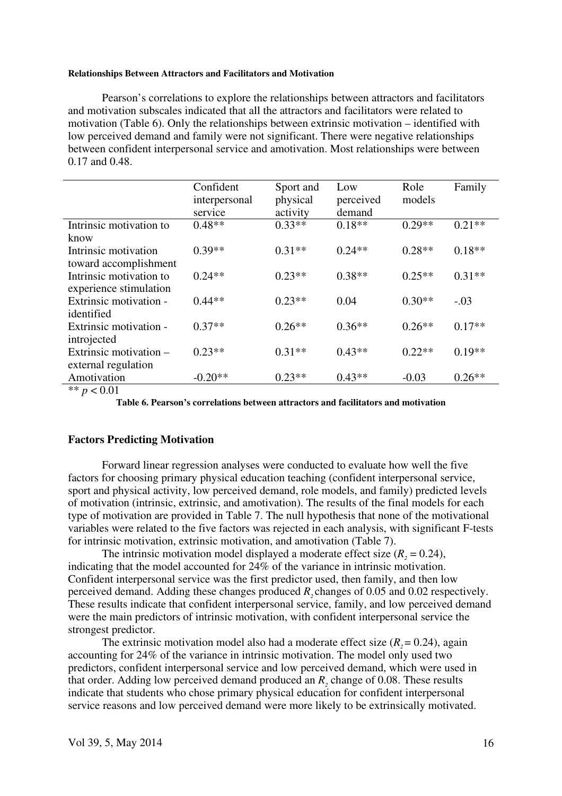#### **Relationships Between Attractors and Facilitators and Motivation**

Pearson's correlations to explore the relationships between attractors and facilitators and motivation subscales indicated that all the attractors and facilitators were related to motivation (Table 6). Only the relationships between extrinsic motivation – identified with low perceived demand and family were not significant. There were negative relationships between confident interpersonal service and amotivation. Most relationships were between 0.17 and 0.48.

|                         | Confident     | Sport and | Low       | Role     | Family   |
|-------------------------|---------------|-----------|-----------|----------|----------|
|                         | interpersonal | physical  | perceived | models   |          |
|                         | service       | activity  | demand    |          |          |
| Intrinsic motivation to | $0.48**$      | $0.33**$  | $0.18**$  | $0.29**$ | $0.21**$ |
| know                    |               |           |           |          |          |
| Intrinsic motivation    | $0.39**$      | $0.31**$  | $0.24**$  | $0.28**$ | $0.18**$ |
| toward accomplishment   |               |           |           |          |          |
| Intrinsic motivation to | $0.24**$      | $0.23**$  | $0.38**$  | $0.25**$ | $0.31**$ |
| experience stimulation  |               |           |           |          |          |
| Extrinsic motivation -  | $0.44**$      | $0.23**$  | 0.04      | $0.30**$ | $-.03$   |
| identified              |               |           |           |          |          |
| Extrinsic motivation -  | $0.37**$      | $0.26**$  | $0.36**$  | $0.26**$ | $0.17**$ |
| introjected             |               |           |           |          |          |
| Extrinsic motivation –  | $0.23**$      | $0.31**$  | $0.43**$  | $0.22**$ | $0.19**$ |
| external regulation     |               |           |           |          |          |
| Amotivation             | $-0.20**$     | $0.23**$  | $0.43**$  | $-0.03$  | $0.26**$ |

 $\frac{1}{2}$  \*\* *p* < 0.01

**Table 6. Pearson's correlations between attractors and facilitators and motivation** 

#### **Factors Predicting Motivation**

Forward linear regression analyses were conducted to evaluate how well the five factors for choosing primary physical education teaching (confident interpersonal service, sport and physical activity, low perceived demand, role models, and family) predicted levels of motivation (intrinsic, extrinsic, and amotivation). The results of the final models for each type of motivation are provided in Table 7. The null hypothesis that none of the motivational variables were related to the five factors was rejected in each analysis, with significant F-tests for intrinsic motivation, extrinsic motivation, and amotivation (Table 7).

The intrinsic motivation model displayed a moderate effect size  $(R<sub>2</sub> = 0.24)$ , indicating that the model accounted for 24% of the variance in intrinsic motivation. Confident interpersonal service was the first predictor used, then family, and then low perceived demand. Adding these changes produced  $R_2$  changes of 0.05 and 0.02 respectively. These results indicate that confident interpersonal service, family, and low perceived demand were the main predictors of intrinsic motivation, with confident interpersonal service the strongest predictor.

The extrinsic motivation model also had a moderate effect size  $(R<sub>2</sub>= 0.24)$ , again accounting for 24% of the variance in intrinsic motivation. The model only used two predictors, confident interpersonal service and low perceived demand, which were used in that order. Adding low perceived demand produced an  $R_2$  change of 0.08. These results indicate that students who chose primary physical education for confident interpersonal service reasons and low perceived demand were more likely to be extrinsically motivated.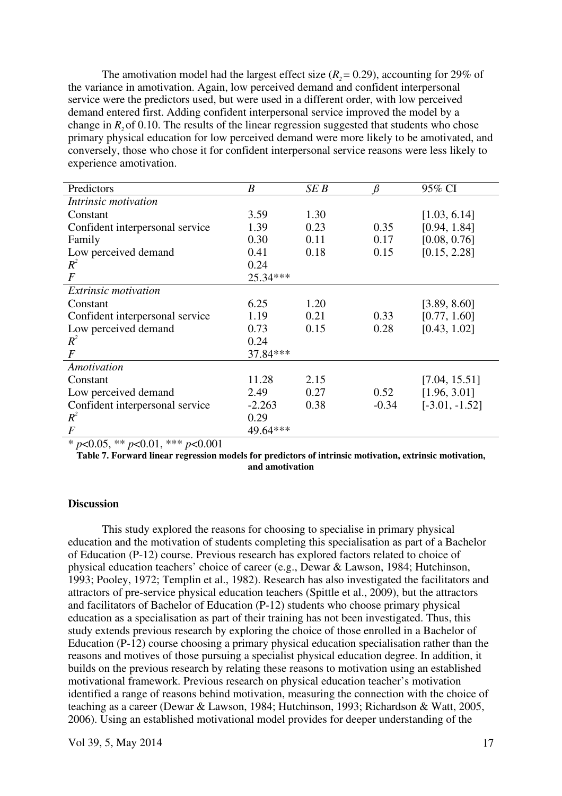The amotivation model had the largest effect size  $(R<sub>2</sub> = 0.29)$ , accounting for 29% of the variance in amotivation. Again, low perceived demand and confident interpersonal service were the predictors used, but were used in a different order, with low perceived demand entered first. Adding confident interpersonal service improved the model by a change in *R*<sub>2</sub> of 0.10. The results of the linear regression suggested that students who chose primary physical education for low perceived demand were more likely to be amotivated, and conversely, those who chose it for confident interpersonal service reasons were less likely to experience amotivation.

| Predictors                      | $\boldsymbol{B}$ | SE B | ß       | 95% CI           |
|---------------------------------|------------------|------|---------|------------------|
| Intrinsic motivation            |                  |      |         |                  |
| Constant                        | 3.59             | 1.30 |         | [1.03, 6.14]     |
| Confident interpersonal service | 1.39             | 0.23 | 0.35    | [0.94, 1.84]     |
| Family                          | 0.30             | 0.11 | 0.17    | [0.08, 0.76]     |
| Low perceived demand            | 0.41             | 0.18 | 0.15    | [0.15, 2.28]     |
| $R^2$                           | 0.24             |      |         |                  |
| $\bm{F}$                        | $25.34***$       |      |         |                  |
| <i>Extrinsic motivation</i>     |                  |      |         |                  |
| Constant                        | 6.25             | 1.20 |         | [3.89, 8.60]     |
| Confident interpersonal service | 1.19             | 0.21 | 0.33    | [0.77, 1.60]     |
| Low perceived demand            | 0.73             | 0.15 | 0.28    | [0.43, 1.02]     |
| $R^2$                           | 0.24             |      |         |                  |
| $\bm{F}$                        | 37.84***         |      |         |                  |
| Amotivation                     |                  |      |         |                  |
| Constant                        | 11.28            | 2.15 |         | [7.04, 15.51]    |
| Low perceived demand            | 2.49             | 0.27 | 0.52    | [1.96, 3.01]     |
| Confident interpersonal service | $-2.263$         | 0.38 | $-0.34$ | $[-3.01, -1.52]$ |
| $R^2$                           | 0.29             |      |         |                  |
| F                               | 49.64***         |      |         |                  |

\* *p*<0.05, \*\* *p*<0.01, \*\*\* *p*<0.001

**Table 7. Forward linear regression models for predictors of intrinsic motivation, extrinsic motivation, and amotivation** 

# **Discussion**

This study explored the reasons for choosing to specialise in primary physical education and the motivation of students completing this specialisation as part of a Bachelor of Education (P-12) course. Previous research has explored factors related to choice of physical education teachers' choice of career (e.g., Dewar & Lawson, 1984; Hutchinson, 1993; Pooley, 1972; Templin et al., 1982). Research has also investigated the facilitators and attractors of pre-service physical education teachers (Spittle et al., 2009), but the attractors and facilitators of Bachelor of Education (P-12) students who choose primary physical education as a specialisation as part of their training has not been investigated. Thus, this study extends previous research by exploring the choice of those enrolled in a Bachelor of Education (P-12) course choosing a primary physical education specialisation rather than the reasons and motives of those pursuing a specialist physical education degree. In addition, it builds on the previous research by relating these reasons to motivation using an established motivational framework. Previous research on physical education teacher's motivation identified a range of reasons behind motivation, measuring the connection with the choice of teaching as a career (Dewar & Lawson, 1984; Hutchinson, 1993; Richardson & Watt, 2005, 2006). Using an established motivational model provides for deeper understanding of the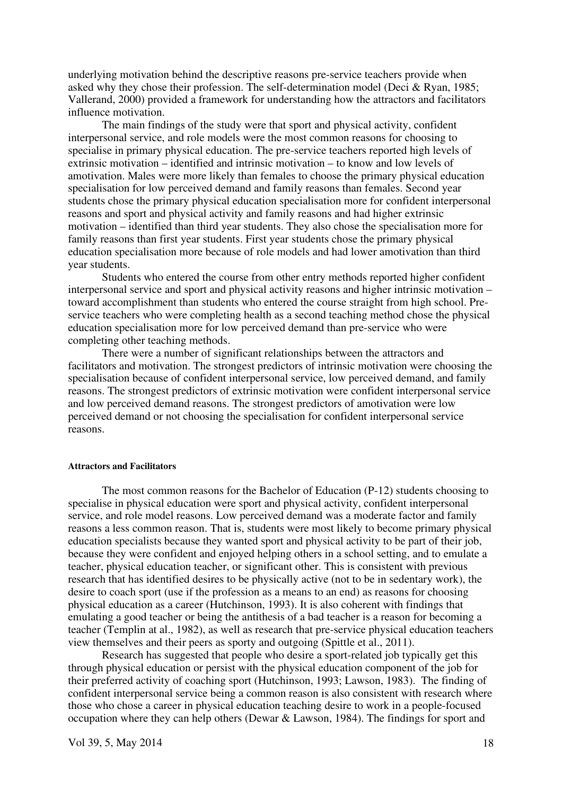underlying motivation behind the descriptive reasons pre-service teachers provide when asked why they chose their profession. The self-determination model (Deci & Ryan, 1985; Vallerand, 2000) provided a framework for understanding how the attractors and facilitators influence motivation.

The main findings of the study were that sport and physical activity, confident interpersonal service, and role models were the most common reasons for choosing to specialise in primary physical education. The pre-service teachers reported high levels of extrinsic motivation – identified and intrinsic motivation – to know and low levels of amotivation. Males were more likely than females to choose the primary physical education specialisation for low perceived demand and family reasons than females. Second year students chose the primary physical education specialisation more for confident interpersonal reasons and sport and physical activity and family reasons and had higher extrinsic motivation – identified than third year students. They also chose the specialisation more for family reasons than first year students. First year students chose the primary physical education specialisation more because of role models and had lower amotivation than third year students.

Students who entered the course from other entry methods reported higher confident interpersonal service and sport and physical activity reasons and higher intrinsic motivation – toward accomplishment than students who entered the course straight from high school. Preservice teachers who were completing health as a second teaching method chose the physical education specialisation more for low perceived demand than pre-service who were completing other teaching methods.

There were a number of significant relationships between the attractors and facilitators and motivation. The strongest predictors of intrinsic motivation were choosing the specialisation because of confident interpersonal service, low perceived demand, and family reasons. The strongest predictors of extrinsic motivation were confident interpersonal service and low perceived demand reasons. The strongest predictors of amotivation were low perceived demand or not choosing the specialisation for confident interpersonal service reasons.

#### **Attractors and Facilitators**

The most common reasons for the Bachelor of Education (P-12) students choosing to specialise in physical education were sport and physical activity, confident interpersonal service, and role model reasons. Low perceived demand was a moderate factor and family reasons a less common reason. That is, students were most likely to become primary physical education specialists because they wanted sport and physical activity to be part of their job, because they were confident and enjoyed helping others in a school setting, and to emulate a teacher, physical education teacher, or significant other. This is consistent with previous research that has identified desires to be physically active (not to be in sedentary work), the desire to coach sport (use if the profession as a means to an end) as reasons for choosing physical education as a career (Hutchinson, 1993). It is also coherent with findings that emulating a good teacher or being the antithesis of a bad teacher is a reason for becoming a teacher (Templin at al., 1982), as well as research that pre-service physical education teachers view themselves and their peers as sporty and outgoing (Spittle et al., 2011).

Research has suggested that people who desire a sport-related job typically get this through physical education or persist with the physical education component of the job for their preferred activity of coaching sport (Hutchinson, 1993; Lawson, 1983). The finding of confident interpersonal service being a common reason is also consistent with research where those who chose a career in physical education teaching desire to work in a people-focused occupation where they can help others (Dewar & Lawson, 1984). The findings for sport and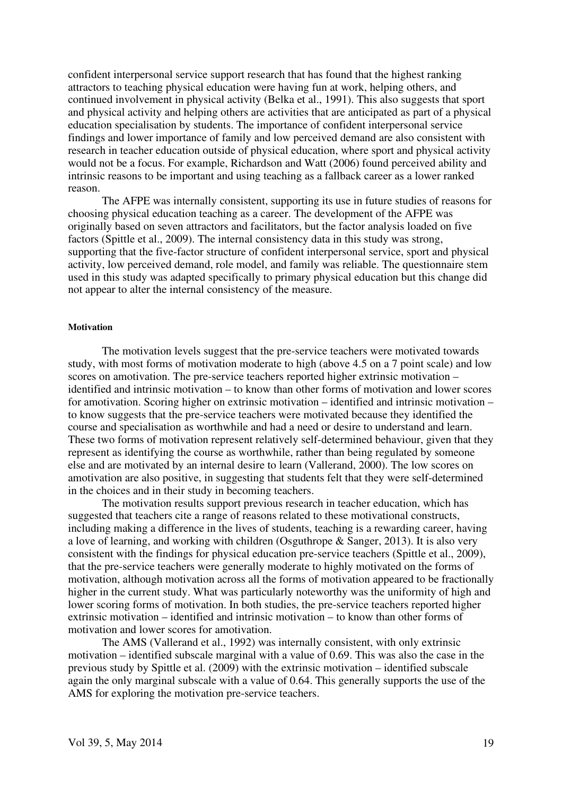confident interpersonal service support research that has found that the highest ranking attractors to teaching physical education were having fun at work, helping others, and continued involvement in physical activity (Belka et al., 1991). This also suggests that sport and physical activity and helping others are activities that are anticipated as part of a physical education specialisation by students. The importance of confident interpersonal service findings and lower importance of family and low perceived demand are also consistent with research in teacher education outside of physical education, where sport and physical activity would not be a focus. For example, Richardson and Watt (2006) found perceived ability and intrinsic reasons to be important and using teaching as a fallback career as a lower ranked reason.

The AFPE was internally consistent, supporting its use in future studies of reasons for choosing physical education teaching as a career. The development of the AFPE was originally based on seven attractors and facilitators, but the factor analysis loaded on five factors (Spittle et al., 2009). The internal consistency data in this study was strong, supporting that the five-factor structure of confident interpersonal service, sport and physical activity, low perceived demand, role model, and family was reliable. The questionnaire stem used in this study was adapted specifically to primary physical education but this change did not appear to alter the internal consistency of the measure.

#### **Motivation**

The motivation levels suggest that the pre-service teachers were motivated towards study, with most forms of motivation moderate to high (above 4.5 on a 7 point scale) and low scores on amotivation. The pre-service teachers reported higher extrinsic motivation – identified and intrinsic motivation – to know than other forms of motivation and lower scores for amotivation. Scoring higher on extrinsic motivation – identified and intrinsic motivation – to know suggests that the pre-service teachers were motivated because they identified the course and specialisation as worthwhile and had a need or desire to understand and learn. These two forms of motivation represent relatively self-determined behaviour, given that they represent as identifying the course as worthwhile, rather than being regulated by someone else and are motivated by an internal desire to learn (Vallerand, 2000). The low scores on amotivation are also positive, in suggesting that students felt that they were self-determined in the choices and in their study in becoming teachers.

The motivation results support previous research in teacher education, which has suggested that teachers cite a range of reasons related to these motivational constructs, including making a difference in the lives of students, teaching is a rewarding career, having a love of learning, and working with children (Osguthrope & Sanger, 2013). It is also very consistent with the findings for physical education pre-service teachers (Spittle et al., 2009), that the pre-service teachers were generally moderate to highly motivated on the forms of motivation, although motivation across all the forms of motivation appeared to be fractionally higher in the current study. What was particularly noteworthy was the uniformity of high and lower scoring forms of motivation. In both studies, the pre-service teachers reported higher extrinsic motivation – identified and intrinsic motivation – to know than other forms of motivation and lower scores for amotivation.

The AMS (Vallerand et al., 1992) was internally consistent, with only extrinsic motivation – identified subscale marginal with a value of 0.69. This was also the case in the previous study by Spittle et al. (2009) with the extrinsic motivation – identified subscale again the only marginal subscale with a value of 0.64. This generally supports the use of the AMS for exploring the motivation pre-service teachers.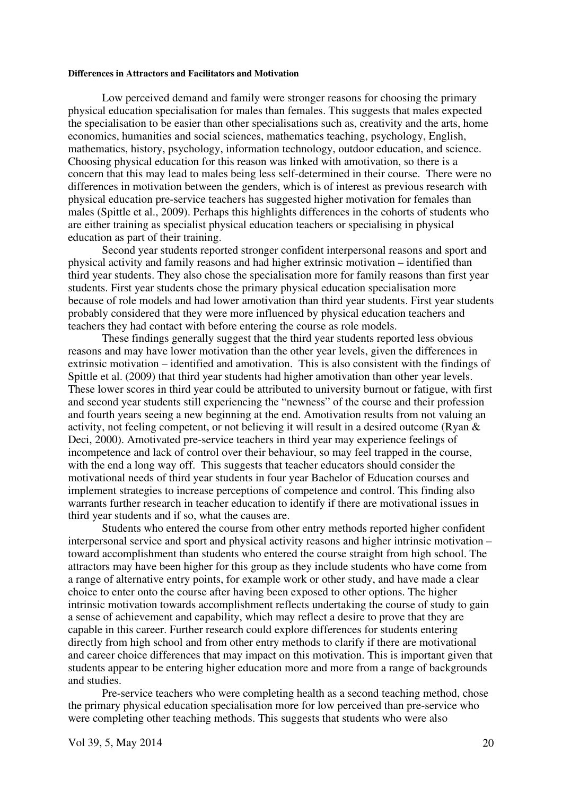#### **Differences in Attractors and Facilitators and Motivation**

Low perceived demand and family were stronger reasons for choosing the primary physical education specialisation for males than females. This suggests that males expected the specialisation to be easier than other specialisations such as, creativity and the arts, home economics, humanities and social sciences, mathematics teaching, psychology, English, mathematics, history, psychology, information technology, outdoor education, and science. Choosing physical education for this reason was linked with amotivation, so there is a concern that this may lead to males being less self-determined in their course. There were no differences in motivation between the genders, which is of interest as previous research with physical education pre-service teachers has suggested higher motivation for females than males (Spittle et al., 2009). Perhaps this highlights differences in the cohorts of students who are either training as specialist physical education teachers or specialising in physical education as part of their training.

Second year students reported stronger confident interpersonal reasons and sport and physical activity and family reasons and had higher extrinsic motivation – identified than third year students. They also chose the specialisation more for family reasons than first year students. First year students chose the primary physical education specialisation more because of role models and had lower amotivation than third year students. First year students probably considered that they were more influenced by physical education teachers and teachers they had contact with before entering the course as role models.

These findings generally suggest that the third year students reported less obvious reasons and may have lower motivation than the other year levels, given the differences in extrinsic motivation – identified and amotivation. This is also consistent with the findings of Spittle et al. (2009) that third year students had higher amotivation than other year levels. These lower scores in third year could be attributed to university burnout or fatigue, with first and second year students still experiencing the "newness" of the course and their profession and fourth years seeing a new beginning at the end. Amotivation results from not valuing an activity, not feeling competent, or not believing it will result in a desired outcome (Ryan & Deci, 2000). Amotivated pre-service teachers in third year may experience feelings of incompetence and lack of control over their behaviour, so may feel trapped in the course, with the end a long way off. This suggests that teacher educators should consider the motivational needs of third year students in four year Bachelor of Education courses and implement strategies to increase perceptions of competence and control. This finding also warrants further research in teacher education to identify if there are motivational issues in third year students and if so, what the causes are.

Students who entered the course from other entry methods reported higher confident interpersonal service and sport and physical activity reasons and higher intrinsic motivation – toward accomplishment than students who entered the course straight from high school. The attractors may have been higher for this group as they include students who have come from a range of alternative entry points, for example work or other study, and have made a clear choice to enter onto the course after having been exposed to other options. The higher intrinsic motivation towards accomplishment reflects undertaking the course of study to gain a sense of achievement and capability, which may reflect a desire to prove that they are capable in this career. Further research could explore differences for students entering directly from high school and from other entry methods to clarify if there are motivational and career choice differences that may impact on this motivation. This is important given that students appear to be entering higher education more and more from a range of backgrounds and studies.

Pre-service teachers who were completing health as a second teaching method, chose the primary physical education specialisation more for low perceived than pre-service who were completing other teaching methods. This suggests that students who were also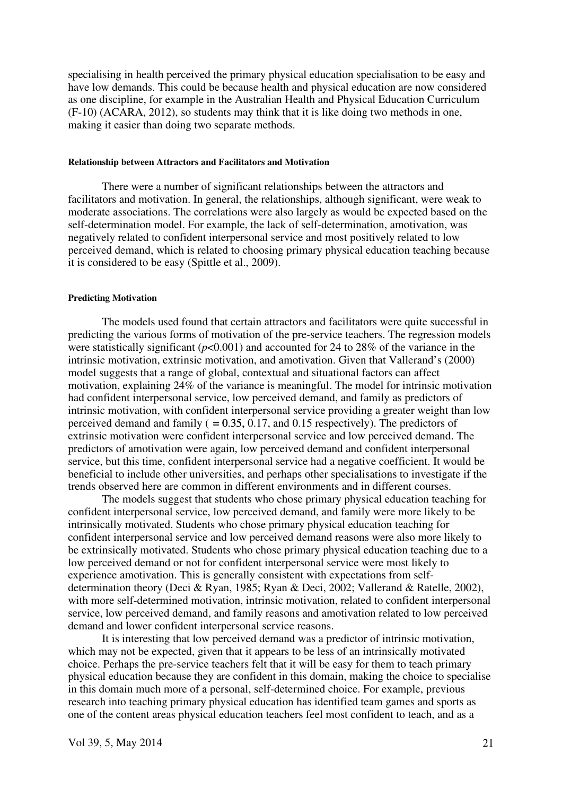specialising in health perceived the primary physical education specialisation to be easy and have low demands. This could be because health and physical education are now considered as one discipline, for example in the Australian Health and Physical Education Curriculum (F-10) (ACARA, 2012), so students may think that it is like doing two methods in one, making it easier than doing two separate methods.

#### **Relationship between Attractors and Facilitators and Motivation**

There were a number of significant relationships between the attractors and facilitators and motivation. In general, the relationships, although significant, were weak to moderate associations. The correlations were also largely as would be expected based on the self-determination model. For example, the lack of self-determination, amotivation, was negatively related to confident interpersonal service and most positively related to low perceived demand, which is related to choosing primary physical education teaching because it is considered to be easy (Spittle et al., 2009).

#### **Predicting Motivation**

The models used found that certain attractors and facilitators were quite successful in predicting the various forms of motivation of the pre-service teachers. The regression models were statistically significant (*p*<0.001) and accounted for 24 to 28% of the variance in the intrinsic motivation, extrinsic motivation, and amotivation. Given that Vallerand's (2000) model suggests that a range of global, contextual and situational factors can affect motivation, explaining 24% of the variance is meaningful. The model for intrinsic motivation had confident interpersonal service, low perceived demand, and family as predictors of intrinsic motivation, with confident interpersonal service providing a greater weight than low perceived demand and family ( $= 0.35, 0.17$ , and 0.15 respectively). The predictors of extrinsic motivation were confident interpersonal service and low perceived demand. The predictors of amotivation were again, low perceived demand and confident interpersonal service, but this time, confident interpersonal service had a negative coefficient. It would be beneficial to include other universities, and perhaps other specialisations to investigate if the trends observed here are common in different environments and in different courses.

The models suggest that students who chose primary physical education teaching for confident interpersonal service, low perceived demand, and family were more likely to be intrinsically motivated. Students who chose primary physical education teaching for confident interpersonal service and low perceived demand reasons were also more likely to be extrinsically motivated. Students who chose primary physical education teaching due to a low perceived demand or not for confident interpersonal service were most likely to experience amotivation. This is generally consistent with expectations from selfdetermination theory (Deci & Ryan, 1985; Ryan & Deci, 2002; Vallerand & Ratelle, 2002), with more self-determined motivation, intrinsic motivation, related to confident interpersonal service, low perceived demand, and family reasons and amotivation related to low perceived demand and lower confident interpersonal service reasons.

It is interesting that low perceived demand was a predictor of intrinsic motivation, which may not be expected, given that it appears to be less of an intrinsically motivated choice. Perhaps the pre-service teachers felt that it will be easy for them to teach primary physical education because they are confident in this domain, making the choice to specialise in this domain much more of a personal, self-determined choice. For example, previous research into teaching primary physical education has identified team games and sports as one of the content areas physical education teachers feel most confident to teach, and as a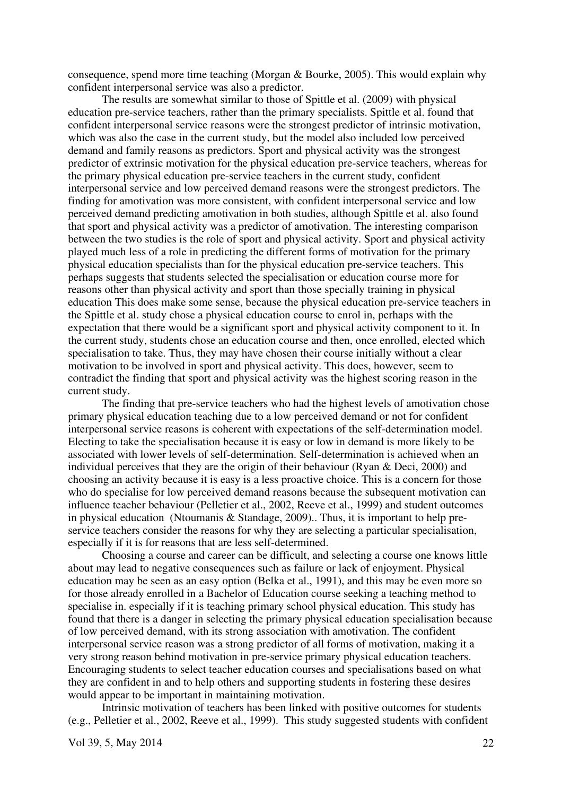consequence, spend more time teaching (Morgan & Bourke, 2005). This would explain why confident interpersonal service was also a predictor.

The results are somewhat similar to those of Spittle et al. (2009) with physical education pre-service teachers, rather than the primary specialists. Spittle et al. found that confident interpersonal service reasons were the strongest predictor of intrinsic motivation, which was also the case in the current study, but the model also included low perceived demand and family reasons as predictors. Sport and physical activity was the strongest predictor of extrinsic motivation for the physical education pre-service teachers, whereas for the primary physical education pre-service teachers in the current study, confident interpersonal service and low perceived demand reasons were the strongest predictors. The finding for amotivation was more consistent, with confident interpersonal service and low perceived demand predicting amotivation in both studies, although Spittle et al. also found that sport and physical activity was a predictor of amotivation. The interesting comparison between the two studies is the role of sport and physical activity. Sport and physical activity played much less of a role in predicting the different forms of motivation for the primary physical education specialists than for the physical education pre-service teachers. This perhaps suggests that students selected the specialisation or education course more for reasons other than physical activity and sport than those specially training in physical education This does make some sense, because the physical education pre-service teachers in the Spittle et al. study chose a physical education course to enrol in, perhaps with the expectation that there would be a significant sport and physical activity component to it. In the current study, students chose an education course and then, once enrolled, elected which specialisation to take. Thus, they may have chosen their course initially without a clear motivation to be involved in sport and physical activity. This does, however, seem to contradict the finding that sport and physical activity was the highest scoring reason in the current study.

The finding that pre-service teachers who had the highest levels of amotivation chose primary physical education teaching due to a low perceived demand or not for confident interpersonal service reasons is coherent with expectations of the self-determination model. Electing to take the specialisation because it is easy or low in demand is more likely to be associated with lower levels of self-determination. Self-determination is achieved when an individual perceives that they are the origin of their behaviour (Ryan & Deci, 2000) and choosing an activity because it is easy is a less proactive choice. This is a concern for those who do specialise for low perceived demand reasons because the subsequent motivation can influence teacher behaviour (Pelletier et al., 2002, Reeve et al., 1999) and student outcomes in physical education (Ntoumanis & Standage, 2009).. Thus, it is important to help preservice teachers consider the reasons for why they are selecting a particular specialisation, especially if it is for reasons that are less self-determined.

Choosing a course and career can be difficult, and selecting a course one knows little about may lead to negative consequences such as failure or lack of enjoyment. Physical education may be seen as an easy option (Belka et al., 1991), and this may be even more so for those already enrolled in a Bachelor of Education course seeking a teaching method to specialise in. especially if it is teaching primary school physical education. This study has found that there is a danger in selecting the primary physical education specialisation because of low perceived demand, with its strong association with amotivation. The confident interpersonal service reason was a strong predictor of all forms of motivation, making it a very strong reason behind motivation in pre-service primary physical education teachers. Encouraging students to select teacher education courses and specialisations based on what they are confident in and to help others and supporting students in fostering these desires would appear to be important in maintaining motivation.

Intrinsic motivation of teachers has been linked with positive outcomes for students (e.g., Pelletier et al., 2002, Reeve et al., 1999). This study suggested students with confident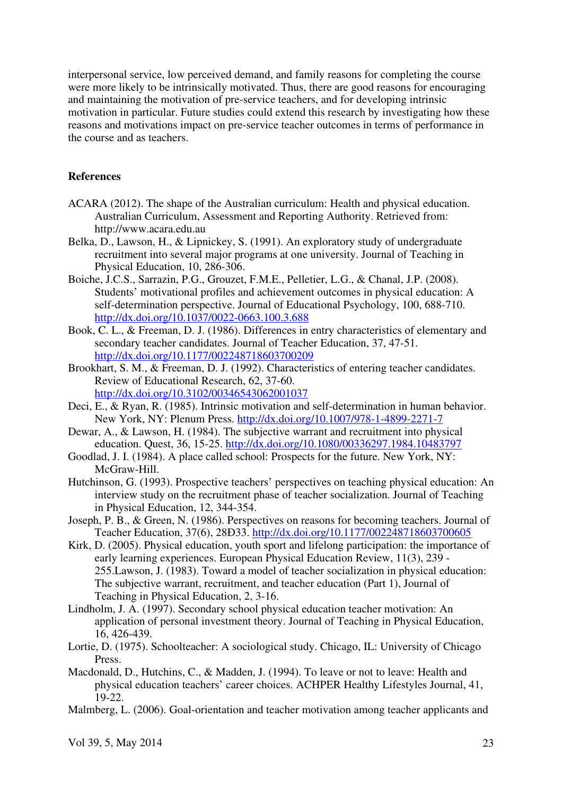interpersonal service, low perceived demand, and family reasons for completing the course were more likely to be intrinsically motivated. Thus, there are good reasons for encouraging and maintaining the motivation of pre-service teachers, and for developing intrinsic motivation in particular. Future studies could extend this research by investigating how these reasons and motivations impact on pre-service teacher outcomes in terms of performance in the course and as teachers.

# **References**

- ACARA (2012). The shape of the Australian curriculum: Health and physical education. Australian Curriculum, Assessment and Reporting Authority. Retrieved from: http://www.acara.edu.au
- Belka, D., Lawson, H., & Lipnickey, S. (1991). An exploratory study of undergraduate recruitment into several major programs at one university. Journal of Teaching in Physical Education, 10, 286-306.
- Boiche, J.C.S., Sarrazin, P.G., Grouzet, F.M.E., Pelletier, L.G., & Chanal, J.P. (2008). Students' motivational profiles and achievement outcomes in physical education: A self-determination perspective. Journal of Educational Psychology, 100, 688-710. http://dx.doi.org/10.1037/0022-0663.100.3.688
- Book, C. L., & Freeman, D. J. (1986). Differences in entry characteristics of elementary and secondary teacher candidates. Journal of Teacher Education, 37, 47-51. http://dx.doi.org/10.1177/002248718603700209
- Brookhart, S. M., & Freeman, D. J. (1992). Characteristics of entering teacher candidates. Review of Educational Research, 62, 37-60. http://dx.doi.org/10.3102/00346543062001037
- Deci, E., & Ryan, R. (1985). Intrinsic motivation and self-determination in human behavior. New York, NY: Plenum Press. http://dx.doi.org/10.1007/978-1-4899-2271-7
- Dewar, A., & Lawson, H. (1984). The subjective warrant and recruitment into physical education. Quest, 36, 15-25. http://dx.doi.org/10.1080/00336297.1984.10483797
- Goodlad, J. I. (1984). A place called school: Prospects for the future. New York, NY: McGraw-Hill.
- Hutchinson, G. (1993). Prospective teachers' perspectives on teaching physical education: An interview study on the recruitment phase of teacher socialization. Journal of Teaching in Physical Education, 12, 344-354.
- Joseph, P. B., & Green, N. (1986). Perspectives on reasons for becoming teachers. Journal of Teacher Education, 37(6), 28Ð33. http://dx.doi.org/10.1177/002248718603700605
- Kirk, D. (2005). Physical education, youth sport and lifelong participation: the importance of early learning experiences. European Physical Education Review, 11(3), 239 - 255.Lawson, J. (1983). Toward a model of teacher socialization in physical education: The subjective warrant, recruitment, and teacher education (Part 1), Journal of Teaching in Physical Education, 2, 3-16.
- Lindholm, J. A. (1997). Secondary school physical education teacher motivation: An application of personal investment theory. Journal of Teaching in Physical Education, 16, 426-439.
- Lortie, D. (1975). Schoolteacher: A sociological study. Chicago, IL: University of Chicago Press.
- Macdonald, D., Hutchins, C., & Madden, J. (1994). To leave or not to leave: Health and physical education teachers' career choices. ACHPER Healthy Lifestyles Journal, 41, 19-22.
- Malmberg, L. (2006). Goal-orientation and teacher motivation among teacher applicants and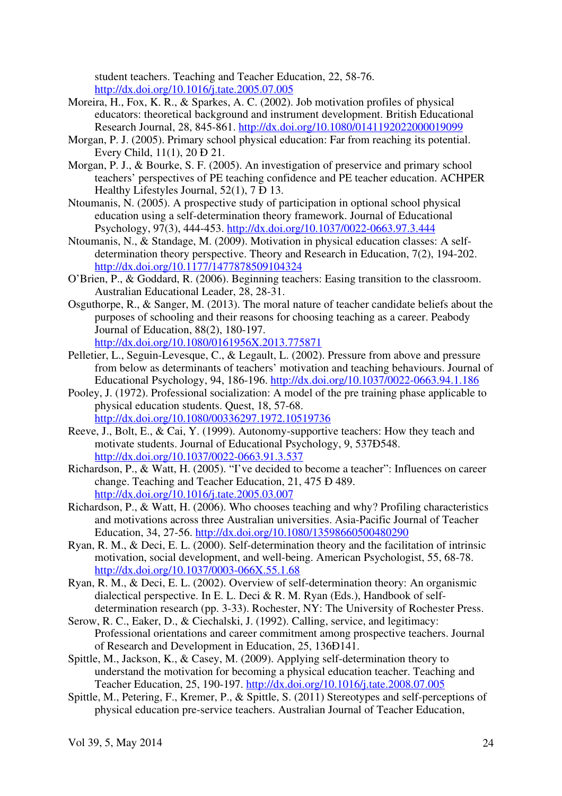student teachers. Teaching and Teacher Education, 22, 58-76. http://dx.doi.org/10.1016/j.tate.2005.07.005

- Moreira, H., Fox, K. R., & Sparkes, A. C. (2002). Job motivation profiles of physical educators: theoretical background and instrument development. British Educational Research Journal, 28, 845-861. http://dx.doi.org/10.1080/0141192022000019099
- Morgan, P. J. (2005). Primary school physical education: Far from reaching its potential. Every Child, 11(1), 20 Ð 21.
- Morgan, P. J., & Bourke, S. F. (2005). An investigation of preservice and primary school teachers' perspectives of PE teaching confidence and PE teacher education. ACHPER Healthy Lifestyles Journal, 52(1), 7 Ð 13.
- Ntoumanis, N. (2005). A prospective study of participation in optional school physical education using a self-determination theory framework. Journal of Educational Psychology, 97(3), 444-453. http://dx.doi.org/10.1037/0022-0663.97.3.444
- Ntoumanis, N., & Standage, M. (2009). Motivation in physical education classes: A selfdetermination theory perspective. Theory and Research in Education, 7(2), 194-202. http://dx.doi.org/10.1177/1477878509104324
- O'Brien, P., & Goddard, R. (2006). Beginning teachers: Easing transition to the classroom. Australian Educational Leader, 28, 28-31.
- Osguthorpe, R., & Sanger, M. (2013). The moral nature of teacher candidate beliefs about the purposes of schooling and their reasons for choosing teaching as a career. Peabody Journal of Education, 88(2), 180-197. http://dx.doi.org/10.1080/0161956X.2013.775871
- Pelletier, L., Seguin-Levesque, C., & Legault, L. (2002). Pressure from above and pressure from below as determinants of teachers' motivation and teaching behaviours. Journal of Educational Psychology, 94, 186-196. http://dx.doi.org/10.1037/0022-0663.94.1.186
- Pooley, J. (1972). Professional socialization: A model of the pre training phase applicable to physical education students. Quest, 18, 57-68. http://dx.doi.org/10.1080/00336297.1972.10519736
- Reeve, J., Bolt, E., & Cai, Y. (1999). Autonomy-supportive teachers: How they teach and motivate students. Journal of Educational Psychology, 9, 537Ð548. http://dx.doi.org/10.1037/0022-0663.91.3.537
- Richardson, P., & Watt, H. (2005). "I've decided to become a teacher": Influences on career change. Teaching and Teacher Education, 21, 475 Ð 489. http://dx.doi.org/10.1016/j.tate.2005.03.007
- Richardson, P., & Watt, H. (2006). Who chooses teaching and why? Profiling characteristics and motivations across three Australian universities. Asia-Pacific Journal of Teacher Education, 34, 27-56. http://dx.doi.org/10.1080/13598660500480290
- Ryan, R. M., & Deci, E. L. (2000). Self-determination theory and the facilitation of intrinsic motivation, social development, and well-being. American Psychologist, 55, 68-78. http://dx.doi.org/10.1037/0003-066X.55.1.68
- Ryan, R. M., & Deci, E. L. (2002). Overview of self-determination theory: An organismic dialectical perspective. In E. L. Deci & R. M. Ryan (Eds.), Handbook of selfdetermination research (pp. 3-33). Rochester, NY: The University of Rochester Press.
- Serow, R. C., Eaker, D., & Ciechalski, J. (1992). Calling, service, and legitimacy: Professional orientations and career commitment among prospective teachers. Journal of Research and Development in Education, 25, 136Ð141.
- Spittle, M., Jackson, K., & Casey, M. (2009). Applying self-determination theory to understand the motivation for becoming a physical education teacher. Teaching and Teacher Education, 25, 190-197. http://dx.doi.org/10.1016/j.tate.2008.07.005
- Spittle, M., Petering, F., Kremer, P., & Spittle, S. (2011) Stereotypes and self-perceptions of physical education pre-service teachers. Australian Journal of Teacher Education,